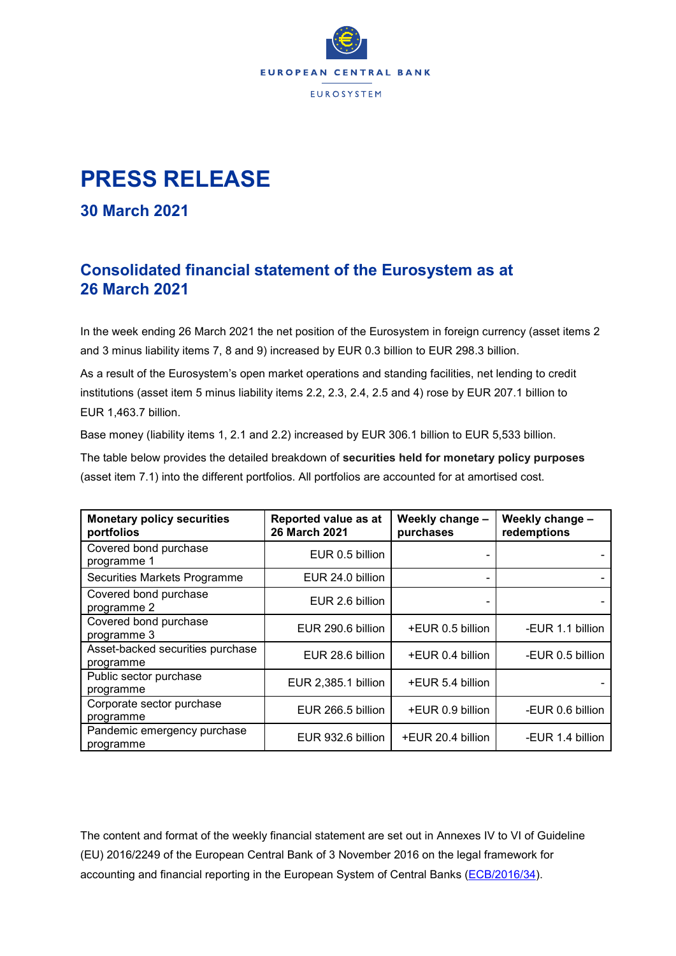

## **PRESS RELEASE**

**30 March 2021**

## **Consolidated financial statement of the Eurosystem as at 26 March 2021**

In the week ending 26 March 2021 the net position of the Eurosystem in foreign currency (asset items 2 and 3 minus liability items 7, 8 and 9) increased by EUR 0.3 billion to EUR 298.3 billion.

As a result of the Eurosystem's open market operations and standing facilities, net lending to credit institutions (asset item 5 minus liability items 2.2, 2.3, 2.4, 2.5 and 4) rose by EUR 207.1 billion to EUR 1,463.7 billion.

Base money (liability items 1, 2.1 and 2.2) increased by EUR 306.1 billion to EUR 5,533 billion.

The table below provides the detailed breakdown of **securities held for monetary policy purposes** (asset item 7.1) into the different portfolios. All portfolios are accounted for at amortised cost.

| <b>Monetary policy securities</b><br>portfolios | Reported value as at<br>26 March 2021 | Weekly change -<br>purchases | Weekly change -<br>redemptions |
|-------------------------------------------------|---------------------------------------|------------------------------|--------------------------------|
| Covered bond purchase<br>programme 1            | EUR 0.5 billion                       |                              |                                |
| Securities Markets Programme                    | EUR 24.0 billion                      |                              |                                |
| Covered bond purchase<br>programme 2            | EUR 2.6 billion                       |                              |                                |
| Covered bond purchase<br>programme 3            | EUR 290.6 billion                     | +EUR 0.5 billion             | -EUR 1.1 billion               |
| Asset-backed securities purchase<br>programme   | EUR 28.6 billion                      | +EUR 0.4 billion             | -EUR 0.5 billion               |
| Public sector purchase<br>programme             | EUR 2,385.1 billion                   | +EUR 5.4 billion             |                                |
| Corporate sector purchase<br>programme          | EUR 266.5 billion                     | +EUR 0.9 billion             | -EUR 0.6 billion               |
| Pandemic emergency purchase<br>programme        | EUR 932.6 billion                     | +EUR 20.4 billion            | -EUR 1.4 billion               |

The content and format of the weekly financial statement are set out in Annexes IV to VI of Guideline (EU) 2016/2249 of the European Central Bank of 3 November 2016 on the legal framework for accounting and financial reporting in the European System of Central Banks [\(ECB/2016/34\)](https://eur-lex.europa.eu/legal-content/EN/TXT/?qid=1599130224518&uri=CELEX:32016O0034).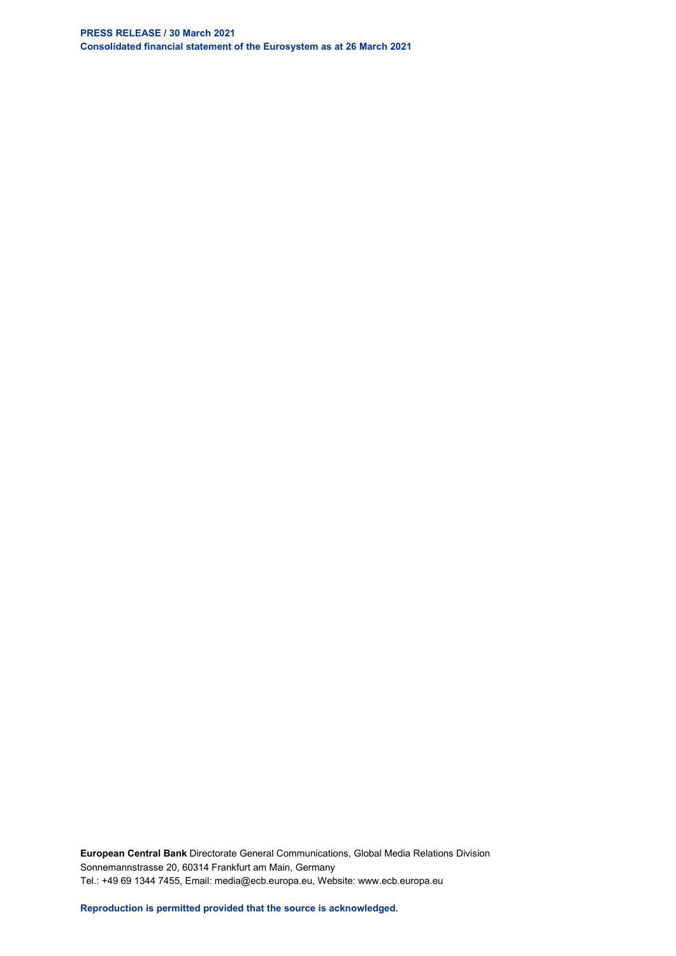**PRESS RELEASE / 30 March 2021 Consolidated financial statement of the Eurosystem as at 26 March 2021**

**European Central Bank** Directorate General Communications, Global Media Relations Division Sonnemannstrasse 20, 60314 Frankfurt am Main, Germany Tel.: +49 69 1344 7455, Email: media@ecb.europa.eu, Website: www.ecb.europa.eu